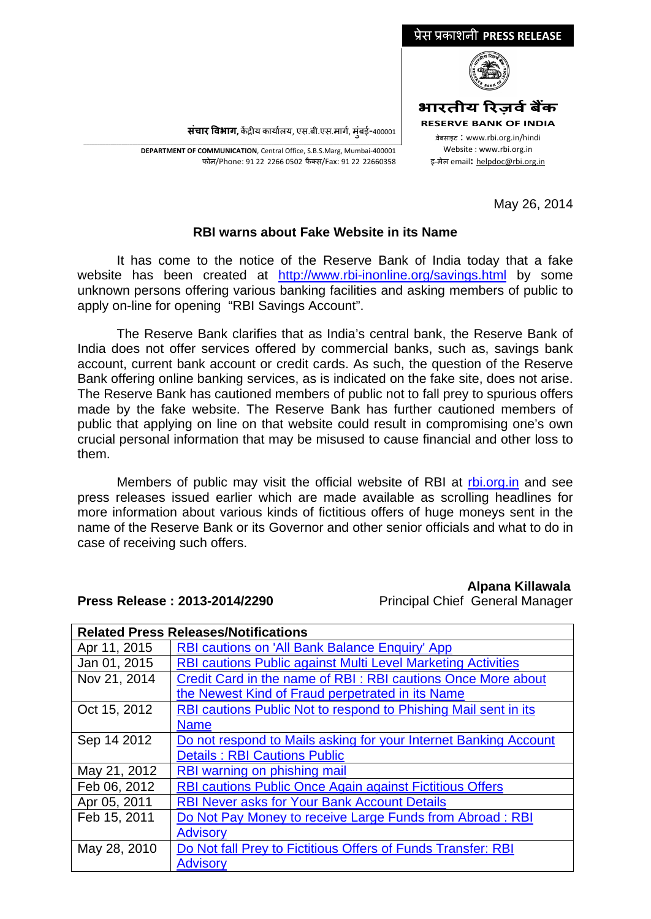

May 26, 2014

## **RBI warns about Fake Website in its Name**

It has come to the notice of the Reserve Bank of India today that a fake website has been created at <http://www.rbi-inonline.org/savings.html> by some unknown persons offering various banking facilities and asking members of public to apply on-line for opening "RBI Savings Account".

The Reserve Bank clarifies that as India's central bank, the Reserve Bank of India does not offer services offered by commercial banks, such as, savings bank account, current bank account or credit cards. As such, the question of the Reserve Bank offering online banking services, as is indicated on the fake site, does not arise. The Reserve Bank has cautioned members of public not to fall prey to spurious offers made by the fake website. The Reserve Bank has further cautioned members of public that applying on line on that website could result in compromising one's own crucial personal information that may be misused to cause financial and other loss to them.

Members of public may visit the official website of RBI at [rbi.org.in](http://www.rbi.org.in/) and see press releases issued earlier which are made available as scrolling headlines for more information about various kinds of fictitious offers of huge moneys sent in the name of the Reserve Bank or its Governor and other senior officials and what to do in case of receiving such offers.

## **Alpana Killawala**

| <b>Related Press Releases/Notifications</b> |                                                                     |
|---------------------------------------------|---------------------------------------------------------------------|
| Apr 11, 2015                                | RBI cautions on 'All Bank Balance Enquiry' App                      |
| Jan 01, 2015                                | <b>RBI cautions Public against Multi Level Marketing Activities</b> |
| Nov 21, 2014                                | Credit Card in the name of RBI: RBI cautions Once More about        |
|                                             | the Newest Kind of Fraud perpetrated in its Name                    |
| Oct 15, 2012                                | RBI cautions Public Not to respond to Phishing Mail sent in its     |
|                                             | <b>Name</b>                                                         |
| Sep 14 2012                                 | Do not respond to Mails asking for your Internet Banking Account    |
|                                             | <b>Details: RBI Cautions Public</b>                                 |
| May 21, 2012                                | RBI warning on phishing mail                                        |
| Feb 06, 2012                                | <b>RBI cautions Public Once Again against Fictitious Offers</b>     |
| Apr 05, 2011                                | <b>RBI Never asks for Your Bank Account Details</b>                 |
| Feb 15, 2011                                | Do Not Pay Money to receive Large Funds from Abroad: RBI            |
|                                             | <b>Advisory</b>                                                     |
| May 28, 2010                                | Do Not fall Prey to Fictitious Offers of Funds Transfer: RBI        |
|                                             | <b>Advisory</b>                                                     |

## **Press Release : 2013-2014/2290** Principal Chief General Manager

\_\_\_\_\_\_\_\_\_\_\_\_\_\_\_\_\_\_\_\_\_\_\_\_\_\_\_\_\_\_\_\_\_\_\_\_\_\_\_\_\_\_\_\_\_\_\_\_\_\_\_\_\_\_\_\_\_\_\_\_\_\_\_\_\_\_\_\_\_\_\_\_\_\_\_\_\_\_\_\_\_\_\_\_\_\_\_\_\_\_\_\_\_\_\_\_\_\_\_\_\_\_\_\_\_\_\_\_\_\_\_\_\_\_\_\_\_ **DEPARTMENT OF COMMUNICATION**, Central Office, S.B.S.Marg, Mumbai-400001 फोन/Phone: 91 22 2266 0502 फै क्स/Fax: 91 22 22660358